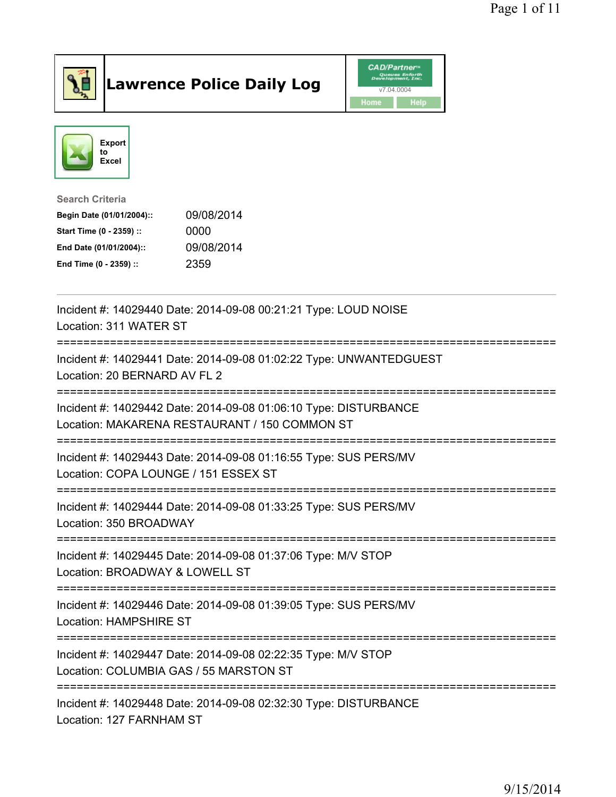

## Lawrence Police Daily Log **Daniel CAD/Partner**





Search Criteria Begin Date (01/01/2004):: 09/08/2014 Start Time (0 - 2359) :: 0000 End Date (01/01/2004):: 09/08/2014 End Time (0 - 2359) :: 2359

| Incident #: 14029440 Date: 2014-09-08 00:21:21 Type: LOUD NOISE<br>Location: 311 WATER ST                                                                 |
|-----------------------------------------------------------------------------------------------------------------------------------------------------------|
| Incident #: 14029441 Date: 2014-09-08 01:02:22 Type: UNWANTEDGUEST<br>Location: 20 BERNARD AV FL 2                                                        |
| Incident #: 14029442 Date: 2014-09-08 01:06:10 Type: DISTURBANCE<br>Location: MAKARENA RESTAURANT / 150 COMMON ST<br>==================================== |
| Incident #: 14029443 Date: 2014-09-08 01:16:55 Type: SUS PERS/MV<br>Location: COPA LOUNGE / 151 ESSEX ST                                                  |
| Incident #: 14029444 Date: 2014-09-08 01:33:25 Type: SUS PERS/MV<br>Location: 350 BROADWAY                                                                |
| Incident #: 14029445 Date: 2014-09-08 01:37:06 Type: M/V STOP<br>Location: BROADWAY & LOWELL ST                                                           |
| Incident #: 14029446 Date: 2014-09-08 01:39:05 Type: SUS PERS/MV<br><b>Location: HAMPSHIRE ST</b><br>=================================                    |
| Incident #: 14029447 Date: 2014-09-08 02:22:35 Type: M/V STOP<br>Location: COLUMBIA GAS / 55 MARSTON ST                                                   |
| Incident #: 14029448 Date: 2014-09-08 02:32:30 Type: DISTURBANCE<br>Location: 127 FARNHAM ST                                                              |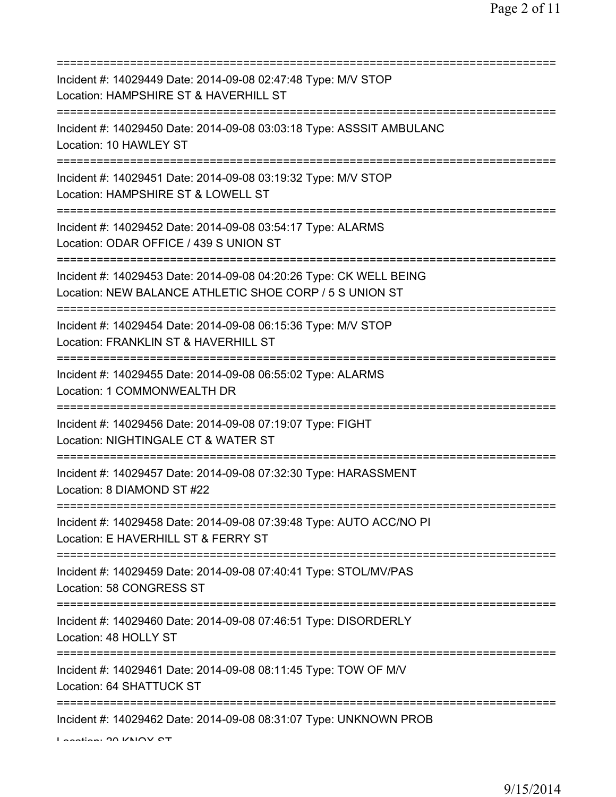| Incident #: 14029449 Date: 2014-09-08 02:47:48 Type: M/V STOP<br>Location: HAMPSHIRE ST & HAVERHILL ST                                 |
|----------------------------------------------------------------------------------------------------------------------------------------|
| Incident #: 14029450 Date: 2014-09-08 03:03:18 Type: ASSSIT AMBULANC<br>Location: 10 HAWLEY ST                                         |
| Incident #: 14029451 Date: 2014-09-08 03:19:32 Type: M/V STOP<br>Location: HAMPSHIRE ST & LOWELL ST<br>=============================== |
| Incident #: 14029452 Date: 2014-09-08 03:54:17 Type: ALARMS<br>Location: ODAR OFFICE / 439 S UNION ST                                  |
| Incident #: 14029453 Date: 2014-09-08 04:20:26 Type: CK WELL BEING<br>Location: NEW BALANCE ATHLETIC SHOE CORP / 5 S UNION ST          |
| Incident #: 14029454 Date: 2014-09-08 06:15:36 Type: M/V STOP<br>Location: FRANKLIN ST & HAVERHILL ST<br>==========================    |
| Incident #: 14029455 Date: 2014-09-08 06:55:02 Type: ALARMS<br>Location: 1 COMMONWEALTH DR<br>==================<br>----------------   |
| Incident #: 14029456 Date: 2014-09-08 07:19:07 Type: FIGHT<br>Location: NIGHTINGALE CT & WATER ST                                      |
| Incident #: 14029457 Date: 2014-09-08 07:32:30 Type: HARASSMENT<br>Location: 8 DIAMOND ST #22                                          |
| Incident #: 14029458 Date: 2014-09-08 07:39:48 Type: AUTO ACC/NO PI<br>Location: E HAVERHILL ST & FERRY ST                             |
| Incident #: 14029459 Date: 2014-09-08 07:40:41 Type: STOL/MV/PAS<br>Location: 58 CONGRESS ST                                           |
| Incident #: 14029460 Date: 2014-09-08 07:46:51 Type: DISORDERLY<br>Location: 48 HOLLY ST                                               |
| Incident #: 14029461 Date: 2014-09-08 08:11:45 Type: TOW OF M/V<br>Location: 64 SHATTUCK ST                                            |
| Incident #: 14029462 Date: 2014-09-08 08:31:07 Type: UNKNOWN PROB                                                                      |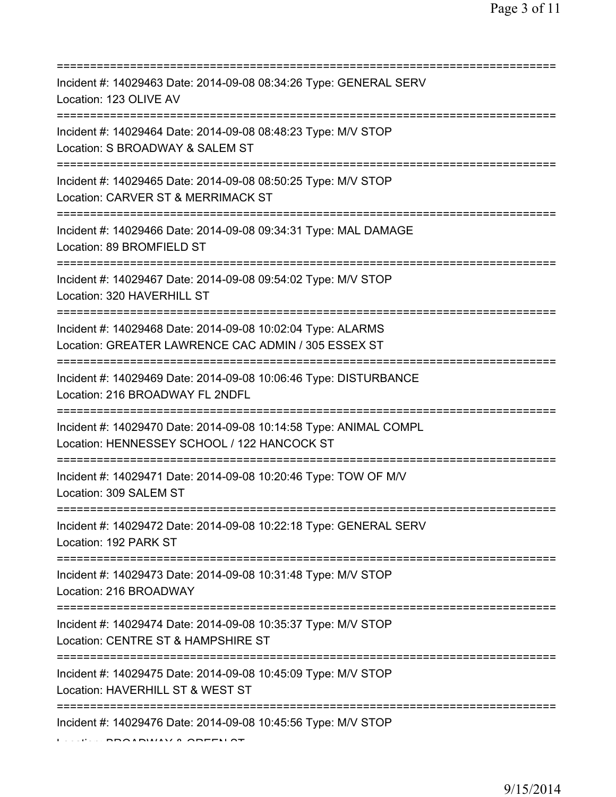| Incident #: 14029463 Date: 2014-09-08 08:34:26 Type: GENERAL SERV<br>Location: 123 OLIVE AV<br>--------------                               |
|---------------------------------------------------------------------------------------------------------------------------------------------|
| Incident #: 14029464 Date: 2014-09-08 08:48:23 Type: M/V STOP<br>Location: S BROADWAY & SALEM ST<br>========================                |
| Incident #: 14029465 Date: 2014-09-08 08:50:25 Type: M/V STOP<br>Location: CARVER ST & MERRIMACK ST<br>:======================              |
| Incident #: 14029466 Date: 2014-09-08 09:34:31 Type: MAL DAMAGE<br>Location: 89 BROMFIELD ST<br>=====================================       |
| Incident #: 14029467 Date: 2014-09-08 09:54:02 Type: M/V STOP<br>Location: 320 HAVERHILL ST                                                 |
| Incident #: 14029468 Date: 2014-09-08 10:02:04 Type: ALARMS<br>Location: GREATER LAWRENCE CAC ADMIN / 305 ESSEX ST<br>=============         |
| Incident #: 14029469 Date: 2014-09-08 10:06:46 Type: DISTURBANCE<br>Location: 216 BROADWAY FL 2NDFL                                         |
| Incident #: 14029470 Date: 2014-09-08 10:14:58 Type: ANIMAL COMPL<br>Location: HENNESSEY SCHOOL / 122 HANCOCK ST                            |
| Incident #: 14029471 Date: 2014-09-08 10:20:46 Type: TOW OF M/V<br>Location: 309 SALEM ST                                                   |
| Incident #: 14029472 Date: 2014-09-08 10:22:18 Type: GENERAL SERV<br>Location: 192 PARK ST                                                  |
| Incident #: 14029473 Date: 2014-09-08 10:31:48 Type: M/V STOP<br>Location: 216 BROADWAY                                                     |
| ====================================<br>Incident #: 14029474 Date: 2014-09-08 10:35:37 Type: M/V STOP<br>Location: CENTRE ST & HAMPSHIRE ST |
| Incident #: 14029475 Date: 2014-09-08 10:45:09 Type: M/V STOP<br>Location: HAVERHILL ST & WEST ST                                           |
| Incident #: 14029476 Date: 2014-09-08 10:45:56 Type: M/V STOP                                                                               |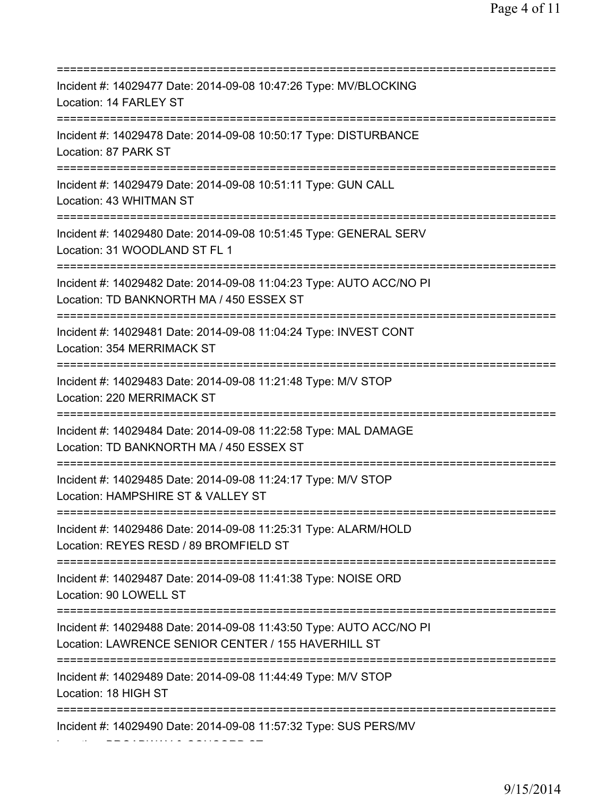=========================================================================== Incident #: 14029477 Date: 2014-09-08 10:47:26 Type: MV/BLOCKING Location: 14 FARLEY ST =========================================================================== Incident #: 14029478 Date: 2014-09-08 10:50:17 Type: DISTURBANCE Location: 87 PARK ST =========================================================================== Incident #: 14029479 Date: 2014-09-08 10:51:11 Type: GUN CALL Location: 43 WHITMAN ST =========================================================================== Incident #: 14029480 Date: 2014-09-08 10:51:45 Type: GENERAL SERV Location: 31 WOODLAND ST FL 1 =========================================================================== Incident #: 14029482 Date: 2014-09-08 11:04:23 Type: AUTO ACC/NO PI Location: TD BANKNORTH MA / 450 ESSEX ST =========================================================================== Incident #: 14029481 Date: 2014-09-08 11:04:24 Type: INVEST CONT Location: 354 MERRIMACK ST =========================================================================== Incident #: 14029483 Date: 2014-09-08 11:21:48 Type: M/V STOP Location: 220 MERRIMACK ST =========================================================================== Incident #: 14029484 Date: 2014-09-08 11:22:58 Type: MAL DAMAGE Location: TD BANKNORTH MA / 450 ESSEX ST =========================================================================== Incident #: 14029485 Date: 2014-09-08 11:24:17 Type: M/V STOP Location: HAMPSHIRE ST & VALLEY ST =========================================================================== Incident #: 14029486 Date: 2014-09-08 11:25:31 Type: ALARM/HOLD Location: REYES RESD / 89 BROMFIELD ST =========================================================================== Incident #: 14029487 Date: 2014-09-08 11:41:38 Type: NOISE ORD Location: 90 LOWELL ST =========================================================================== Incident #: 14029488 Date: 2014-09-08 11:43:50 Type: AUTO ACC/NO PI Location: LAWRENCE SENIOR CENTER / 155 HAVERHILL ST =========================================================================== Incident #: 14029489 Date: 2014-09-08 11:44:49 Type: M/V STOP Location: 18 HIGH ST =========================================================================== Incident #: 14029490 Date: 2014-09-08 11:57:32 Type: SUS PERS/MV Location: BROADWAY & CONCORD ST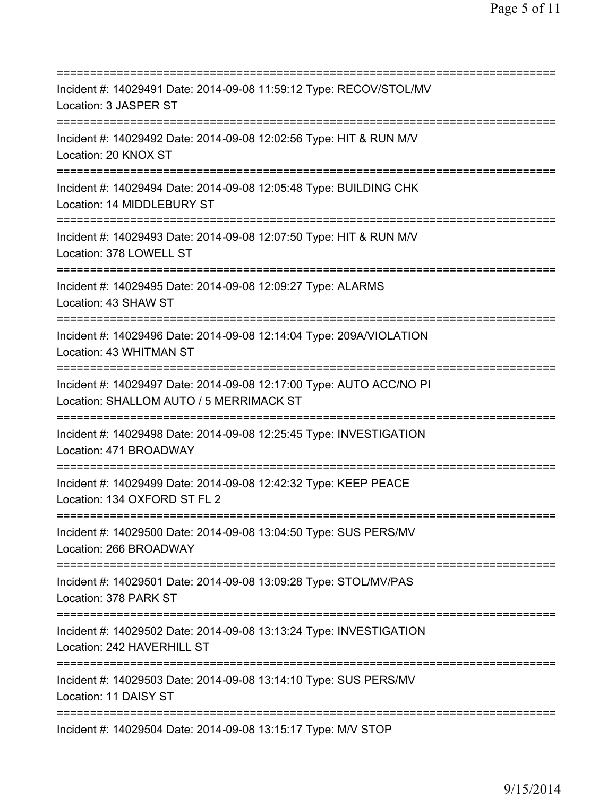=========================================================================== Incident #: 14029491 Date: 2014-09-08 11:59:12 Type: RECOV/STOL/MV Location: 3 JASPER ST =========================================================================== Incident #: 14029492 Date: 2014-09-08 12:02:56 Type: HIT & RUN M/V Location: 20 KNOX ST =========================================================================== Incident #: 14029494 Date: 2014-09-08 12:05:48 Type: BUILDING CHK Location: 14 MIDDLEBURY ST =========================================================================== Incident #: 14029493 Date: 2014-09-08 12:07:50 Type: HIT & RUN M/V Location: 378 LOWELL ST =========================================================================== Incident #: 14029495 Date: 2014-09-08 12:09:27 Type: ALARMS Location: 43 SHAW ST =========================================================================== Incident #: 14029496 Date: 2014-09-08 12:14:04 Type: 209A/VIOLATION Location: 43 WHITMAN ST =========================================================================== Incident #: 14029497 Date: 2014-09-08 12:17:00 Type: AUTO ACC/NO PI Location: SHALLOM AUTO / 5 MERRIMACK ST =========================================================================== Incident #: 14029498 Date: 2014-09-08 12:25:45 Type: INVESTIGATION Location: 471 BROADWAY =========================================================================== Incident #: 14029499 Date: 2014-09-08 12:42:32 Type: KEEP PEACE Location: 134 OXFORD ST FL 2 =========================================================================== Incident #: 14029500 Date: 2014-09-08 13:04:50 Type: SUS PERS/MV Location: 266 BROADWAY =========================================================================== Incident #: 14029501 Date: 2014-09-08 13:09:28 Type: STOL/MV/PAS Location: 378 PARK ST =========================================================================== Incident #: 14029502 Date: 2014-09-08 13:13:24 Type: INVESTIGATION Location: 242 HAVERHILL ST =========================================================================== Incident #: 14029503 Date: 2014-09-08 13:14:10 Type: SUS PERS/MV Location: 11 DAISY ST =========================================================================== Incident #: 14029504 Date: 2014-09-08 13:15:17 Type: M/V STOP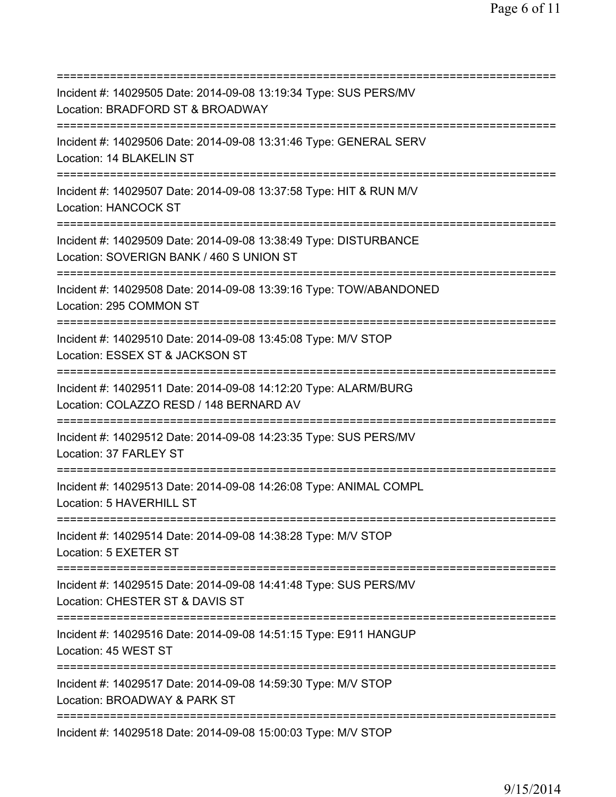=========================================================================== Incident #: 14029505 Date: 2014-09-08 13:19:34 Type: SUS PERS/MV Location: BRADFORD ST & BROADWAY =========================================================================== Incident #: 14029506 Date: 2014-09-08 13:31:46 Type: GENERAL SERV Location: 14 BLAKELIN ST =========================================================================== Incident #: 14029507 Date: 2014-09-08 13:37:58 Type: HIT & RUN M/V Location: HANCOCK ST =========================================================================== Incident #: 14029509 Date: 2014-09-08 13:38:49 Type: DISTURBANCE Location: SOVERIGN BANK / 460 S UNION ST =========================================================================== Incident #: 14029508 Date: 2014-09-08 13:39:16 Type: TOW/ABANDONED Location: 295 COMMON ST =========================================================================== Incident #: 14029510 Date: 2014-09-08 13:45:08 Type: M/V STOP Location: ESSEX ST & JACKSON ST =========================================================================== Incident #: 14029511 Date: 2014-09-08 14:12:20 Type: ALARM/BURG Location: COLAZZO RESD / 148 BERNARD AV =========================================================================== Incident #: 14029512 Date: 2014-09-08 14:23:35 Type: SUS PERS/MV Location: 37 FARLEY ST =========================================================================== Incident #: 14029513 Date: 2014-09-08 14:26:08 Type: ANIMAL COMPL Location: 5 HAVERHILL ST =========================================================================== Incident #: 14029514 Date: 2014-09-08 14:38:28 Type: M/V STOP Location: 5 EXETER ST =========================================================================== Incident #: 14029515 Date: 2014-09-08 14:41:48 Type: SUS PERS/MV Location: CHESTER ST & DAVIS ST =========================================================================== Incident #: 14029516 Date: 2014-09-08 14:51:15 Type: E911 HANGUP Location: 45 WEST ST =========================================================================== Incident #: 14029517 Date: 2014-09-08 14:59:30 Type: M/V STOP Location: BROADWAY & PARK ST =========================================================================== Incident #: 14029518 Date: 2014-09-08 15:00:03 Type: M/V STOP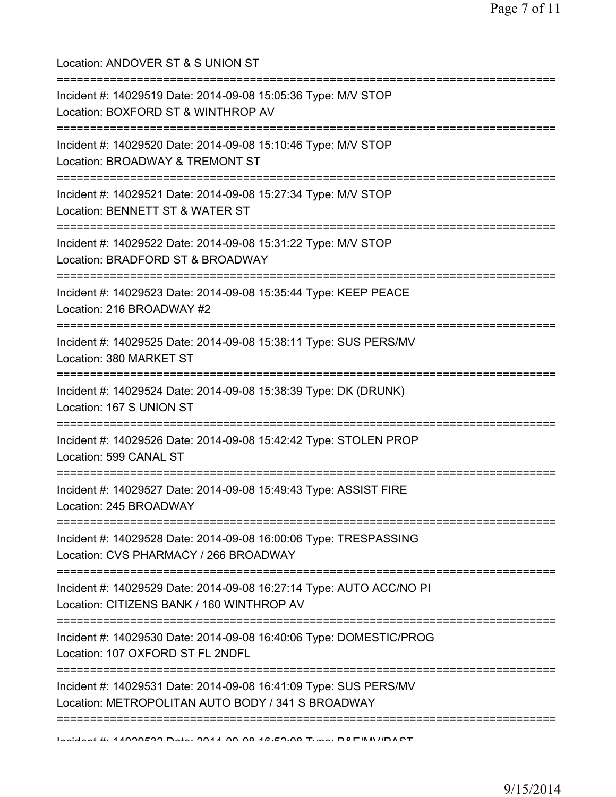Location: ANDOVER ST & S UNION ST =========================================================================== Incident #: 14029519 Date: 2014-09-08 15:05:36 Type: M/V STOP Location: BOXFORD ST & WINTHROP AV =========================================================================== Incident #: 14029520 Date: 2014-09-08 15:10:46 Type: M/V STOP Location: BROADWAY & TREMONT ST =========================================================================== Incident #: 14029521 Date: 2014-09-08 15:27:34 Type: M/V STOP Location: BENNETT ST & WATER ST =========================================================================== Incident #: 14029522 Date: 2014-09-08 15:31:22 Type: M/V STOP Location: BRADFORD ST & BROADWAY =========================================================================== Incident #: 14029523 Date: 2014-09-08 15:35:44 Type: KEEP PEACE Location: 216 BROADWAY #2 =========================================================================== Incident #: 14029525 Date: 2014-09-08 15:38:11 Type: SUS PERS/MV Location: 380 MARKET ST =========================================================================== Incident #: 14029524 Date: 2014-09-08 15:38:39 Type: DK (DRUNK) Location: 167 S UNION ST =========================================================================== Incident #: 14029526 Date: 2014-09-08 15:42:42 Type: STOLEN PROP Location: 599 CANAL ST =========================================================================== Incident #: 14029527 Date: 2014-09-08 15:49:43 Type: ASSIST FIRE Location: 245 BROADWAY =========================================================================== Incident #: 14029528 Date: 2014-09-08 16:00:06 Type: TRESPASSING Location: CVS PHARMACY / 266 BROADWAY =========================================================================== Incident #: 14029529 Date: 2014-09-08 16:27:14 Type: AUTO ACC/NO PI Location: CITIZENS BANK / 160 WINTHROP AV =========================================================================== Incident #: 14029530 Date: 2014-09-08 16:40:06 Type: DOMESTIC/PROG Location: 107 OXFORD ST FL 2NDFL =========================================================================== Incident #: 14029531 Date: 2014-09-08 16:41:09 Type: SUS PERS/MV Location: METROPOLITAN AUTO BODY / 341 S BROADWAY ===========================================================================

Incident #: 14029532 Date: 2014 09 08 16:52:08 Type: B&E/MV/PAST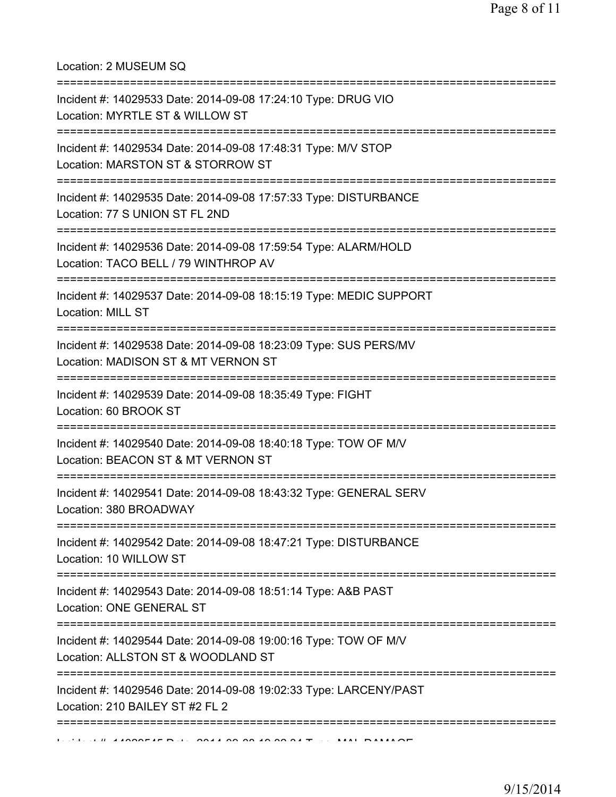Location: 2 MUSEUM SQ

| Incident #: 14029533 Date: 2014-09-08 17:24:10 Type: DRUG VIO<br>Location: MYRTLE ST & WILLOW ST        |
|---------------------------------------------------------------------------------------------------------|
| Incident #: 14029534 Date: 2014-09-08 17:48:31 Type: M/V STOP<br>Location: MARSTON ST & STORROW ST      |
| Incident #: 14029535 Date: 2014-09-08 17:57:33 Type: DISTURBANCE<br>Location: 77 S UNION ST FL 2ND      |
| Incident #: 14029536 Date: 2014-09-08 17:59:54 Type: ALARM/HOLD<br>Location: TACO BELL / 79 WINTHROP AV |
| Incident #: 14029537 Date: 2014-09-08 18:15:19 Type: MEDIC SUPPORT<br><b>Location: MILL ST</b>          |
| Incident #: 14029538 Date: 2014-09-08 18:23:09 Type: SUS PERS/MV<br>Location: MADISON ST & MT VERNON ST |
| Incident #: 14029539 Date: 2014-09-08 18:35:49 Type: FIGHT<br>Location: 60 BROOK ST                     |
| Incident #: 14029540 Date: 2014-09-08 18:40:18 Type: TOW OF M/V<br>Location: BEACON ST & MT VERNON ST   |
| Incident #: 14029541 Date: 2014-09-08 18:43:32 Type: GENERAL SERV<br>Location: 380 BROADWAY             |
| Incident #: 14029542 Date: 2014-09-08 18:47:21 Type: DISTURBANCE<br>Location: 10 WILLOW ST              |
| Incident #: 14029543 Date: 2014-09-08 18:51:14 Type: A&B PAST<br><b>Location: ONE GENERAL ST</b>        |
| Incident #: 14029544 Date: 2014-09-08 19:00:16 Type: TOW OF M/V<br>Location: ALLSTON ST & WOODLAND ST   |
| Incident #: 14029546 Date: 2014-09-08 19:02:33 Type: LARCENY/PAST<br>Location: 210 BAILEY ST #2 FL 2    |
|                                                                                                         |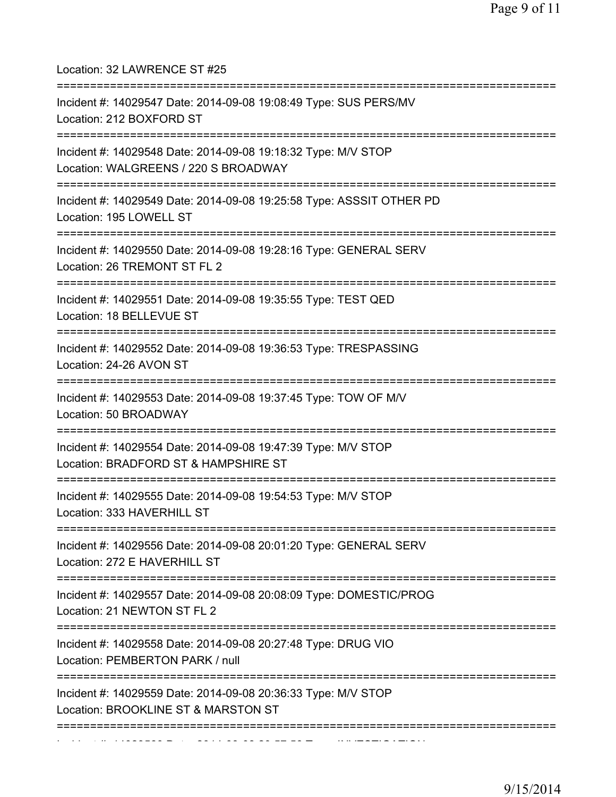Location: 32 LAWRENCE ST #25 =========================================================================== Incident #: 14029547 Date: 2014-09-08 19:08:49 Type: SUS PERS/MV Location: 212 BOXFORD ST =========================================================================== Incident #: 14029548 Date: 2014-09-08 19:18:32 Type: M/V STOP Location: WALGREENS / 220 S BROADWAY =========================================================================== Incident #: 14029549 Date: 2014-09-08 19:25:58 Type: ASSSIT OTHER PD Location: 195 LOWELL ST =========================================================================== Incident #: 14029550 Date: 2014-09-08 19:28:16 Type: GENERAL SERV Location: 26 TREMONT ST FL 2 =========================================================================== Incident #: 14029551 Date: 2014-09-08 19:35:55 Type: TEST QED Location: 18 BELLEVUE ST =========================================================================== Incident #: 14029552 Date: 2014-09-08 19:36:53 Type: TRESPASSING Location: 24-26 AVON ST =========================================================================== Incident #: 14029553 Date: 2014-09-08 19:37:45 Type: TOW OF M/V Location: 50 BROADWAY =========================================================================== Incident #: 14029554 Date: 2014-09-08 19:47:39 Type: M/V STOP Location: BRADFORD ST & HAMPSHIRE ST =========================================================================== Incident #: 14029555 Date: 2014-09-08 19:54:53 Type: M/V STOP Location: 333 HAVERHILL ST =========================================================================== Incident #: 14029556 Date: 2014-09-08 20:01:20 Type: GENERAL SERV Location: 272 E HAVERHILL ST =========================================================================== Incident #: 14029557 Date: 2014-09-08 20:08:09 Type: DOMESTIC/PROG Location: 21 NEWTON ST FL 2 =========================================================================== Incident #: 14029558 Date: 2014-09-08 20:27:48 Type: DRUG VIO Location: PEMBERTON PARK / null =========================================================================== Incident #: 14029559 Date: 2014-09-08 20:36:33 Type: M/V STOP Location: BROOKLINE ST & MARSTON ST =========================================================================== Incident #: 14029560 Date: 2014 09 08 20:57:56 Type: INVESTIGATION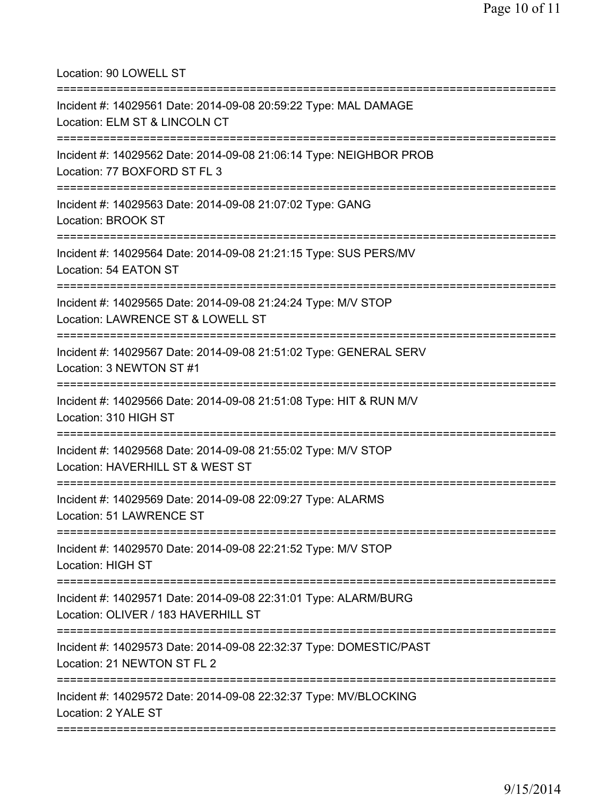Location: 90 LOWELL ST

| Incident #: 14029561 Date: 2014-09-08 20:59:22 Type: MAL DAMAGE<br>Location: ELM ST & LINCOLN CT                |
|-----------------------------------------------------------------------------------------------------------------|
| Incident #: 14029562 Date: 2014-09-08 21:06:14 Type: NEIGHBOR PROB<br>Location: 77 BOXFORD ST FL 3              |
| Incident #: 14029563 Date: 2014-09-08 21:07:02 Type: GANG<br><b>Location: BROOK ST</b>                          |
| Incident #: 14029564 Date: 2014-09-08 21:21:15 Type: SUS PERS/MV<br>Location: 54 EATON ST                       |
| Incident #: 14029565 Date: 2014-09-08 21:24:24 Type: M/V STOP<br>Location: LAWRENCE ST & LOWELL ST              |
| Incident #: 14029567 Date: 2014-09-08 21:51:02 Type: GENERAL SERV<br>Location: 3 NEWTON ST #1                   |
| Incident #: 14029566 Date: 2014-09-08 21:51:08 Type: HIT & RUN M/V<br>Location: 310 HIGH ST                     |
| Incident #: 14029568 Date: 2014-09-08 21:55:02 Type: M/V STOP<br>Location: HAVERHILL ST & WEST ST               |
| Incident #: 14029569 Date: 2014-09-08 22:09:27 Type: ALARMS<br><b>Location: 51 LAWRENCE ST</b>                  |
| Incident #: 14029570 Date: 2014-09-08 22:21:52 Type: M/V STOP<br><b>Location: HIGH ST</b>                       |
| Incident #: 14029571 Date: 2014-09-08 22:31:01 Type: ALARM/BURG<br>Location: OLIVER / 183 HAVERHILL ST          |
| ----------<br>Incident #: 14029573 Date: 2014-09-08 22:32:37 Type: DOMESTIC/PAST<br>Location: 21 NEWTON ST FL 2 |
| Incident #: 14029572 Date: 2014-09-08 22:32:37 Type: MV/BLOCKING<br>Location: 2 YALE ST                         |
|                                                                                                                 |